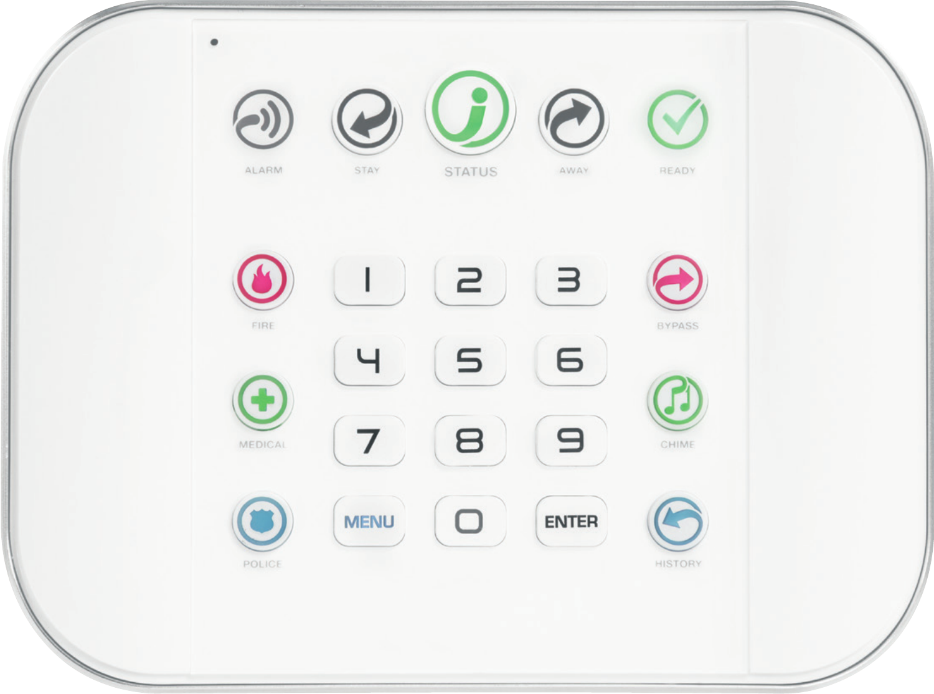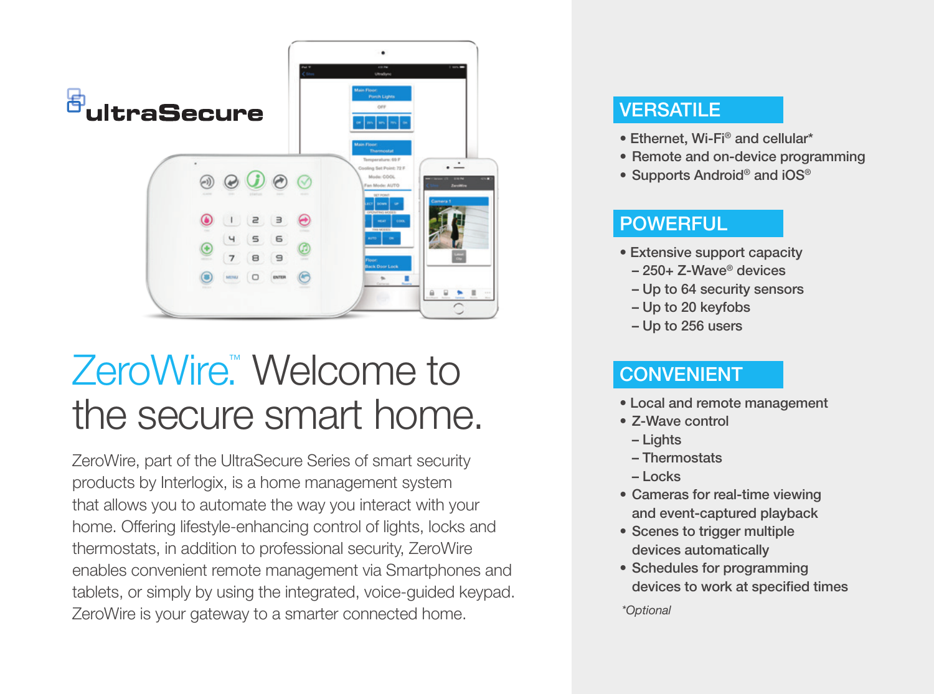

## ZeroWire<sup>™</sup> Welcome to the secure smart home.

ZeroWire, part of the UltraSecure Series of smart security products by Interlogix, is a home management system that allows you to automate the way you interact with your home. Offering lifestyle-enhancing control of lights, locks and thermostats, in addition to professional security, ZeroWire enables convenient remote management via Smartphones and tablets, or simply by using the integrated, voice-guided keypad. ZeroWire is your gateway to a smarter connected home.

### **VERSATILE**

- Ethernet, Wi-Fi® and cellular\*
- Remote and on-device programming
- Supports Android<sup>®</sup> and iOS<sup>®</sup>

### **POWERFUL**

- Extensive support capacity
	- 250+ Z-Wave® devices
	- Up to 64 security sensors
	- Up to 20 keyfobs
	- Up to 256 users

### **CONVENIENT**

- Local and remote management
- Z-Wave control
- Lights
- Thermostats
- Locks
- Cameras for real-time viewing and event-captured playback
- Scenes to trigger multiple devices automatically
- Schedules for programming devices to work at specified times

*\*Optional*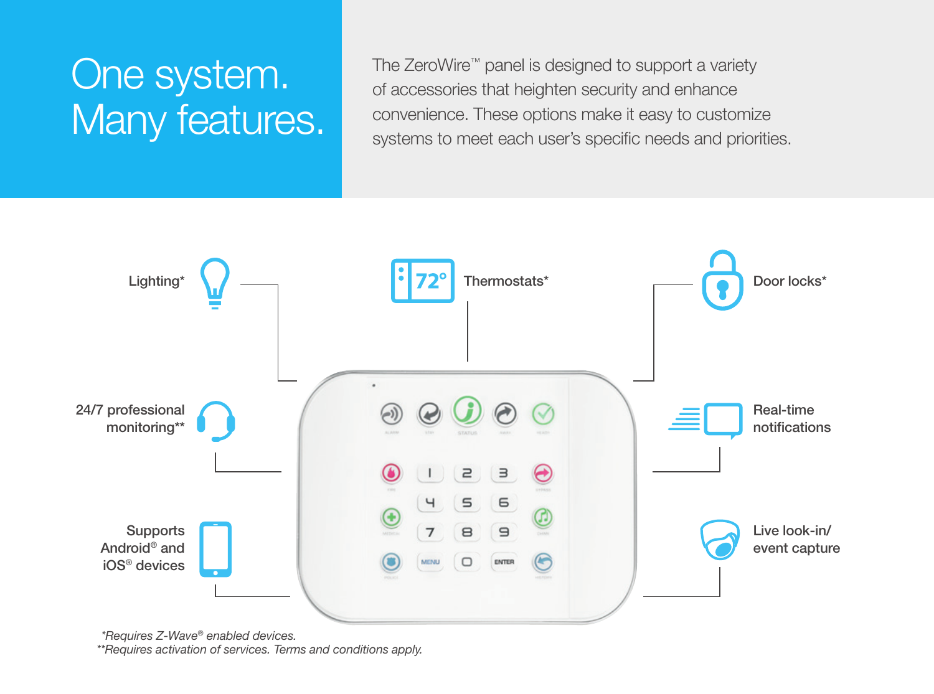# One system. Many features.

The ZeroWire™ panel is designed to support a variety of accessories that heighten security and enhance convenience. These options make it easy to customize systems to meet each user's specific needs and priorities.



*\*Requires Z-Wave® enabled devices.*

*\*\*Requires activation of services. Terms and conditions apply.*